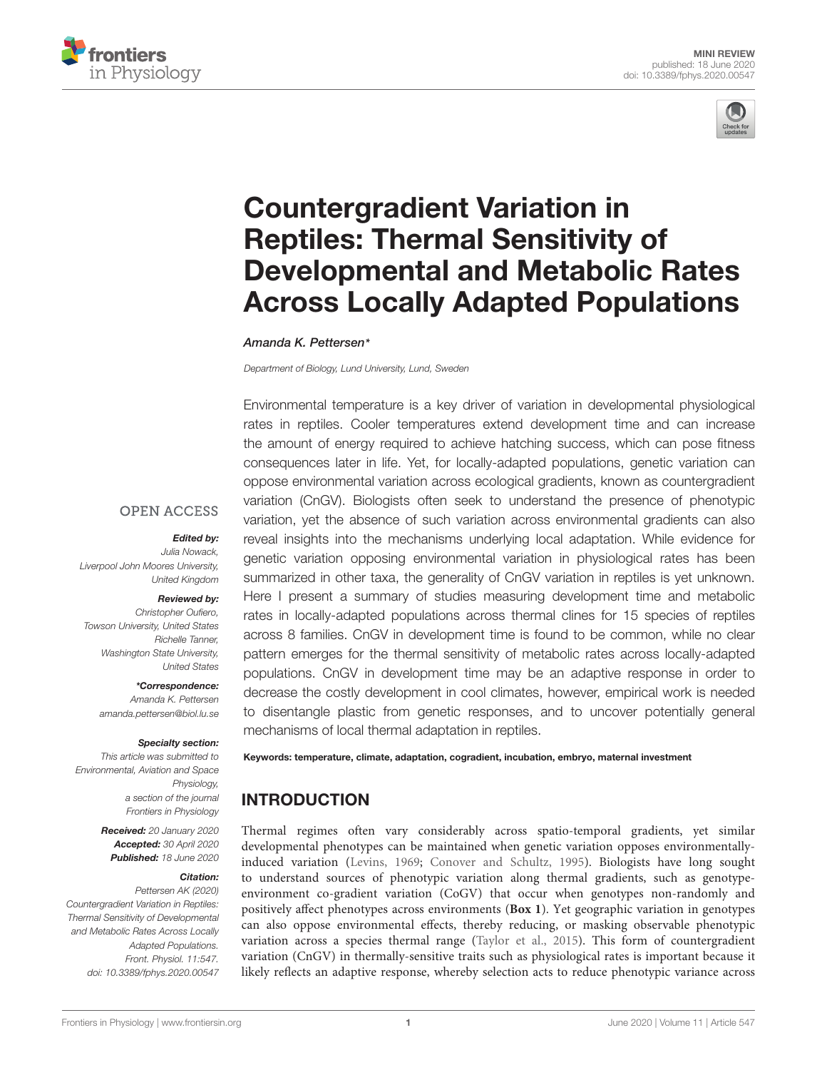



# Countergradient Variation in Reptiles: Thermal Sensitivity of [Developmental and Metabolic Rates](https://www.frontiersin.org/articles/10.3389/fphys.2020.00547/full) Across Locally Adapted Populations

[Amanda K. Pettersen](http://loop.frontiersin.org/people/782969/overview)\*

Department of Biology, Lund University, Lund, Sweden

Environmental temperature is a key driver of variation in developmental physiological rates in reptiles. Cooler temperatures extend development time and can increase the amount of energy required to achieve hatching success, which can pose fitness consequences later in life. Yet, for locally-adapted populations, genetic variation can oppose environmental variation across ecological gradients, known as countergradient variation (CnGV). Biologists often seek to understand the presence of phenotypic variation, yet the absence of such variation across environmental gradients can also reveal insights into the mechanisms underlying local adaptation. While evidence for genetic variation opposing environmental variation in physiological rates has been summarized in other taxa, the generality of CnGV variation in reptiles is yet unknown. Here I present a summary of studies measuring development time and metabolic rates in locally-adapted populations across thermal clines for 15 species of reptiles across 8 families. CnGV in development time is found to be common, while no clear pattern emerges for the thermal sensitivity of metabolic rates across locally-adapted populations. CnGV in development time may be an adaptive response in order to decrease the costly development in cool climates, however, empirical work is needed to disentangle plastic from genetic responses, and to uncover potentially general mechanisms of local thermal adaptation in reptiles.

**OPEN ACCESS** 

#### Edited by:

Julia Nowack, Liverpool John Moores University, United Kingdom

#### Reviewed by:

Christopher Oufiero, Towson University, United States Richelle Tanner, Washington State University, United States

\*Correspondence: Amanda K. Pettersen amanda.pettersen@biol.lu.se

#### Specialty section:

This article was submitted to Environmental, Aviation and Space Physiology, a section of the journal Frontiers in Physiology

> Received: 20 January 2020 Accepted: 30 April 2020 Published: 18 June 2020

#### Citation:

Pettersen AK (2020) Countergradient Variation in Reptiles: Thermal Sensitivity of Developmental and Metabolic Rates Across Locally Adapted Populations. Front. Physiol. 11:547. doi: [10.3389/fphys.2020.00547](https://doi.org/10.3389/fphys.2020.00547) Keywords: temperature, climate, adaptation, cogradient, incubation, embryo, maternal investment

# **INTRODUCTION**

Thermal regimes often vary considerably across spatio-temporal gradients, yet similar developmental phenotypes can be maintained when genetic variation opposes environmentallyinduced variation [\(Levins,](#page-6-0) [1969;](#page-6-0) [Conover and Schultz,](#page-5-0) [1995\)](#page-5-0). Biologists have long sought to understand sources of phenotypic variation along thermal gradients, such as genotypeenvironment co-gradient variation (CoGV) that occur when genotypes non-randomly and positively affect phenotypes across environments (**[Box 1](#page-1-0)**). Yet geographic variation in genotypes can also oppose environmental effects, thereby reducing, or masking observable phenotypic variation across a species thermal range [\(Taylor et al.,](#page-7-0) [2015\)](#page-7-0). This form of countergradient variation (CnGV) in thermally-sensitive traits such as physiological rates is important because it likely reflects an adaptive response, whereby selection acts to reduce phenotypic variance across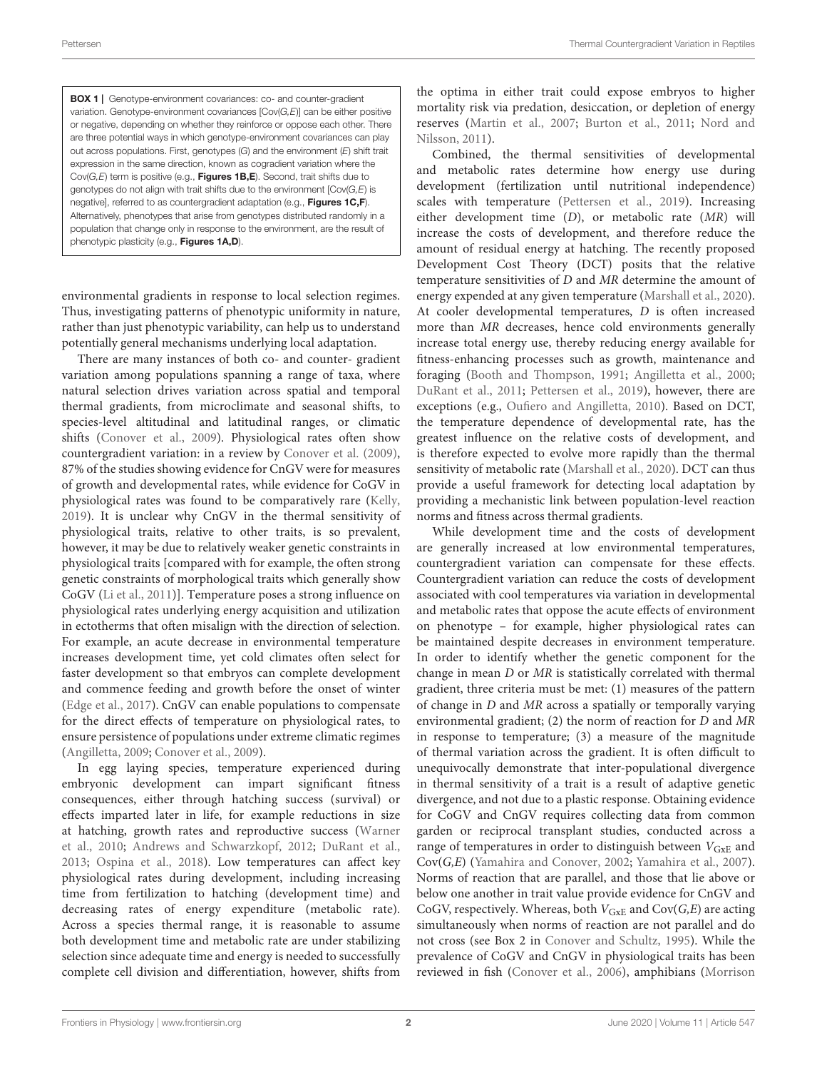<span id="page-1-0"></span>BOX 1 | Genotype-environment covariances: co- and counter-gradient variation. Genotype-environment covariances [Cov(G,E)] can be either positive or negative, depending on whether they reinforce or oppose each other. There are three potential ways in which genotype-environment covariances can play out across populations. First, genotypes  $(G)$  and the environment  $(E)$  shift trait expression in the same direction, known as cogradient variation where the Cov( $G$ , $E$ ) term is positive (e.g., Figures 1B, $E$ ). Second, trait shifts due to genotypes do not align with trait shifts due to the environment [Cov(G,E) is negative], referred to as countergradient adaptation (e.g., [Figures 1C,F](#page-3-0)). Alternatively, phenotypes that arise from genotypes distributed randomly in a population that change only in response to the environment, are the result of phenotypic plasticity (e.g., [Figures 1A,D](#page-3-0)).

environmental gradients in response to local selection regimes. Thus, investigating patterns of phenotypic uniformity in nature, rather than just phenotypic variability, can help us to understand potentially general mechanisms underlying local adaptation.

There are many instances of both co- and counter- gradient variation among populations spanning a range of taxa, where natural selection drives variation across spatial and temporal thermal gradients, from microclimate and seasonal shifts, to species-level altitudinal and latitudinal ranges, or climatic shifts [\(Conover et al.,](#page-5-1) [2009\)](#page-5-1). Physiological rates often show countergradient variation: in a review by [Conover et al.](#page-5-1) [\(2009\)](#page-5-1), 87% of the studies showing evidence for CnGV were for measures of growth and developmental rates, while evidence for CoGV in physiological rates was found to be comparatively rare [\(Kelly,](#page-6-1) [2019\)](#page-6-1). It is unclear why CnGV in the thermal sensitivity of physiological traits, relative to other traits, is so prevalent, however, it may be due to relatively weaker genetic constraints in physiological traits [compared with for example, the often strong genetic constraints of morphological traits which generally show CoGV [\(Li et al.,](#page-6-2) [2011\)](#page-6-2)]. Temperature poses a strong influence on physiological rates underlying energy acquisition and utilization in ectotherms that often misalign with the direction of selection. For example, an acute decrease in environmental temperature increases development time, yet cold climates often select for faster development so that embryos can complete development and commence feeding and growth before the onset of winter [\(Edge et al.,](#page-6-3) [2017\)](#page-6-3). CnGV can enable populations to compensate for the direct effects of temperature on physiological rates, to ensure persistence of populations under extreme climatic regimes [\(Angilletta,](#page-5-2) [2009;](#page-5-2) [Conover et al.,](#page-5-1) [2009\)](#page-5-1).

In egg laying species, temperature experienced during embryonic development can impart significant fitness consequences, either through hatching success (survival) or effects imparted later in life, for example reductions in size at hatching, growth rates and reproductive success [\(Warner](#page-7-1) [et al.,](#page-7-1) [2010;](#page-7-1) [Andrews and Schwarzkopf,](#page-5-3) [2012;](#page-5-3) [DuRant et al.,](#page-6-4) [2013;](#page-6-4) [Ospina et al.,](#page-6-5) [2018\)](#page-6-5). Low temperatures can affect key physiological rates during development, including increasing time from fertilization to hatching (development time) and decreasing rates of energy expenditure (metabolic rate). Across a species thermal range, it is reasonable to assume both development time and metabolic rate are under stabilizing selection since adequate time and energy is needed to successfully complete cell division and differentiation, however, shifts from the optima in either trait could expose embryos to higher mortality risk via predation, desiccation, or depletion of energy reserves [\(Martin et al.,](#page-6-6) [2007;](#page-6-6) [Burton et al.,](#page-5-4) [2011;](#page-5-4) [Nord and](#page-6-7) [Nilsson,](#page-6-7) [2011\)](#page-6-7).

Combined, the thermal sensitivities of developmental and metabolic rates determine how energy use during development (fertilization until nutritional independence) scales with temperature [\(Pettersen et al.,](#page-6-8) [2019\)](#page-6-8). Increasing either development time (D), or metabolic rate (MR) will increase the costs of development, and therefore reduce the amount of residual energy at hatching. The recently proposed Development Cost Theory (DCT) posits that the relative temperature sensitivities of D and MR determine the amount of energy expended at any given temperature [\(Marshall et al.,](#page-6-9) [2020\)](#page-6-9). At cooler developmental temperatures, D is often increased more than MR decreases, hence cold environments generally increase total energy use, thereby reducing energy available for fitness-enhancing processes such as growth, maintenance and foraging [\(Booth and Thompson,](#page-5-5) [1991;](#page-5-5) [Angilletta et al.,](#page-5-6) [2000;](#page-5-6) [DuRant et al.,](#page-6-10) [2011;](#page-6-10) [Pettersen et al.,](#page-6-8) [2019\)](#page-6-8), however, there are exceptions (e.g., [Oufiero and Angilletta,](#page-6-11) [2010\)](#page-6-11). Based on DCT, the temperature dependence of developmental rate, has the greatest influence on the relative costs of development, and is therefore expected to evolve more rapidly than the thermal sensitivity of metabolic rate [\(Marshall et al.,](#page-6-9) [2020\)](#page-6-9). DCT can thus provide a useful framework for detecting local adaptation by providing a mechanistic link between population-level reaction norms and fitness across thermal gradients.

While development time and the costs of development are generally increased at low environmental temperatures, countergradient variation can compensate for these effects. Countergradient variation can reduce the costs of development associated with cool temperatures via variation in developmental and metabolic rates that oppose the acute effects of environment on phenotype – for example, higher physiological rates can be maintained despite decreases in environment temperature. In order to identify whether the genetic component for the change in mean D or MR is statistically correlated with thermal gradient, three criteria must be met: (1) measures of the pattern of change in D and MR across a spatially or temporally varying environmental gradient; (2) the norm of reaction for D and MR in response to temperature; (3) a measure of the magnitude of thermal variation across the gradient. It is often difficult to unequivocally demonstrate that inter-populational divergence in thermal sensitivity of a trait is a result of adaptive genetic divergence, and not due to a plastic response. Obtaining evidence for CoGV and CnGV requires collecting data from common garden or reciprocal transplant studies, conducted across a range of temperatures in order to distinguish between  $V_{GxE}$  and Cov(G,E) [\(Yamahira and Conover,](#page-7-2) [2002;](#page-7-2) [Yamahira et al.,](#page-7-3) [2007\)](#page-7-3). Norms of reaction that are parallel, and those that lie above or below one another in trait value provide evidence for CnGV and CoGV, respectively. Whereas, both  $V_{GxE}$  and  $Cov(G,E)$  are acting simultaneously when norms of reaction are not parallel and do not cross (see Box 2 in [Conover and Schultz,](#page-5-0) [1995\)](#page-5-0). While the prevalence of CoGV and CnGV in physiological traits has been reviewed in fish [\(Conover et al.,](#page-5-7) [2006\)](#page-5-7), amphibians [\(Morrison](#page-6-12)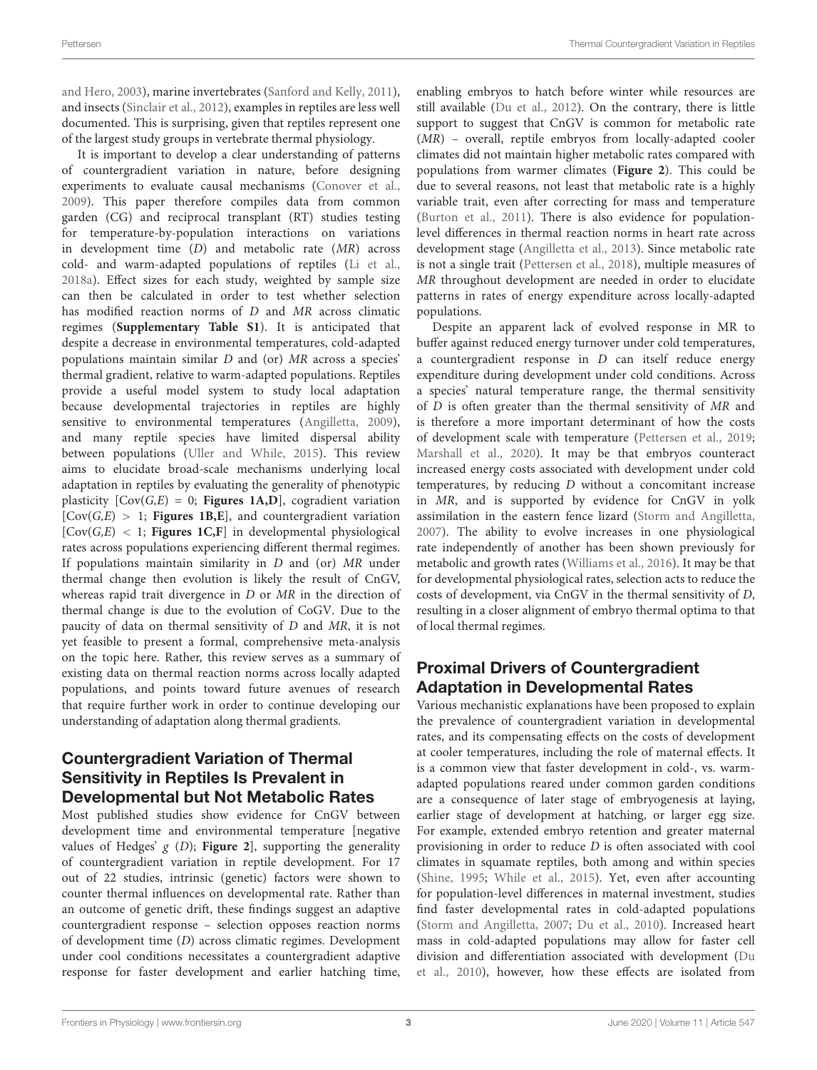[and Hero,](#page-6-12) [2003\)](#page-6-12), marine invertebrates [\(Sanford and Kelly,](#page-6-13) [2011\)](#page-6-13), and insects [\(Sinclair et al.,](#page-7-4) [2012\)](#page-7-4), examples in reptiles are less well documented. This is surprising, given that reptiles represent one of the largest study groups in vertebrate thermal physiology.

It is important to develop a clear understanding of patterns of countergradient variation in nature, before designing experiments to evaluate causal mechanisms [\(Conover et al.,](#page-5-1) [2009\)](#page-5-1). This paper therefore compiles data from common garden (CG) and reciprocal transplant (RT) studies testing for temperature-by-population interactions on variations in development time (D) and metabolic rate (MR) across cold- and warm-adapted populations of reptiles [\(Li et al.,](#page-6-14) [2018a\)](#page-6-14). Effect sizes for each study, weighted by sample size can then be calculated in order to test whether selection has modified reaction norms of D and MR across climatic regimes (**[Supplementary Table S1](#page-5-8)**). It is anticipated that despite a decrease in environmental temperatures, cold-adapted populations maintain similar D and (or) MR across a species' thermal gradient, relative to warm-adapted populations. Reptiles provide a useful model system to study local adaptation because developmental trajectories in reptiles are highly sensitive to environmental temperatures [\(Angilletta,](#page-5-2) [2009\)](#page-5-2), and many reptile species have limited dispersal ability between populations [\(Uller and While,](#page-7-5) [2015\)](#page-7-5). This review aims to elucidate broad-scale mechanisms underlying local adaptation in reptiles by evaluating the generality of phenotypic plasticity  $[Cov(G, E) = 0;$  **[Figures 1A,D](#page-3-0)**], cogradient variation  $[Cov(G, E) > 1;$  **Figures 1B, E**, and countergradient variation  $[Cov(G, E) < 1;$  **Figures 1C, F** in developmental physiological rates across populations experiencing different thermal regimes. If populations maintain similarity in D and (or) MR under thermal change then evolution is likely the result of CnGV, whereas rapid trait divergence in D or MR in the direction of thermal change is due to the evolution of CoGV. Due to the paucity of data on thermal sensitivity of D and MR, it is not yet feasible to present a formal, comprehensive meta-analysis on the topic here. Rather, this review serves as a summary of existing data on thermal reaction norms across locally adapted populations, and points toward future avenues of research that require further work in order to continue developing our understanding of adaptation along thermal gradients.

# Countergradient Variation of Thermal Sensitivity in Reptiles Is Prevalent in Developmental but Not Metabolic Rates

Most published studies show evidence for CnGV between development time and environmental temperature [negative values of Hedges' g (D); **[Figure 2](#page-4-0)**], supporting the generality of countergradient variation in reptile development. For 17 out of 22 studies, intrinsic (genetic) factors were shown to counter thermal influences on developmental rate. Rather than an outcome of genetic drift, these findings suggest an adaptive countergradient response – selection opposes reaction norms of development time (D) across climatic regimes. Development under cool conditions necessitates a countergradient adaptive response for faster development and earlier hatching time,

enabling embryos to hatch before winter while resources are still available [\(Du et al.,](#page-6-15) [2012\)](#page-6-15). On the contrary, there is little support to suggest that CnGV is common for metabolic rate (MR) – overall, reptile embryos from locally-adapted cooler climates did not maintain higher metabolic rates compared with populations from warmer climates (**[Figure 2](#page-4-0)**). This could be due to several reasons, not least that metabolic rate is a highly variable trait, even after correcting for mass and temperature [\(Burton et al.,](#page-5-4) [2011\)](#page-5-4). There is also evidence for populationlevel differences in thermal reaction norms in heart rate across development stage [\(Angilletta et al.,](#page-5-9) [2013\)](#page-5-9). Since metabolic rate is not a single trait [\(Pettersen et al.,](#page-6-16) [2018\)](#page-6-16), multiple measures of MR throughout development are needed in order to elucidate patterns in rates of energy expenditure across locally-adapted populations.

Despite an apparent lack of evolved response in MR to buffer against reduced energy turnover under cold temperatures, a countergradient response in  $D$  can itself reduce energy expenditure during development under cold conditions. Across a species' natural temperature range, the thermal sensitivity of D is often greater than the thermal sensitivity of MR and is therefore a more important determinant of how the costs of development scale with temperature [\(Pettersen et al.,](#page-6-8) [2019;](#page-6-8) [Marshall et al.,](#page-6-9) [2020\)](#page-6-9). It may be that embryos counteract increased energy costs associated with development under cold temperatures, by reducing D without a concomitant increase in MR, and is supported by evidence for CnGV in yolk assimilation in the eastern fence lizard [\(Storm and Angilletta,](#page-7-6) [2007\)](#page-7-6). The ability to evolve increases in one physiological rate independently of another has been shown previously for metabolic and growth rates [\(Williams et al.,](#page-7-7) [2016\)](#page-7-7). It may be that for developmental physiological rates, selection acts to reduce the costs of development, via CnGV in the thermal sensitivity of D, resulting in a closer alignment of embryo thermal optima to that of local thermal regimes.

## Proximal Drivers of Countergradient Adaptation in Developmental Rates

Various mechanistic explanations have been proposed to explain the prevalence of countergradient variation in developmental rates, and its compensating effects on the costs of development at cooler temperatures, including the role of maternal effects. It is a common view that faster development in cold-, vs. warmadapted populations reared under common garden conditions are a consequence of later stage of embryogenesis at laying, earlier stage of development at hatching, or larger egg size. For example, extended embryo retention and greater maternal provisioning in order to reduce D is often associated with cool climates in squamate reptiles, both among and within species [\(Shine,](#page-6-17) [1995;](#page-6-17) [While et al.,](#page-7-8) [2015\)](#page-7-8). Yet, even after accounting for population-level differences in maternal investment, studies find faster developmental rates in cold-adapted populations [\(Storm and Angilletta,](#page-7-6) [2007;](#page-7-6) [Du et al.,](#page-6-18) [2010\)](#page-6-18). Increased heart mass in cold-adapted populations may allow for faster cell division and differentiation associated with development [\(Du](#page-6-18) [et al.,](#page-6-18) [2010\)](#page-6-18), however, how these effects are isolated from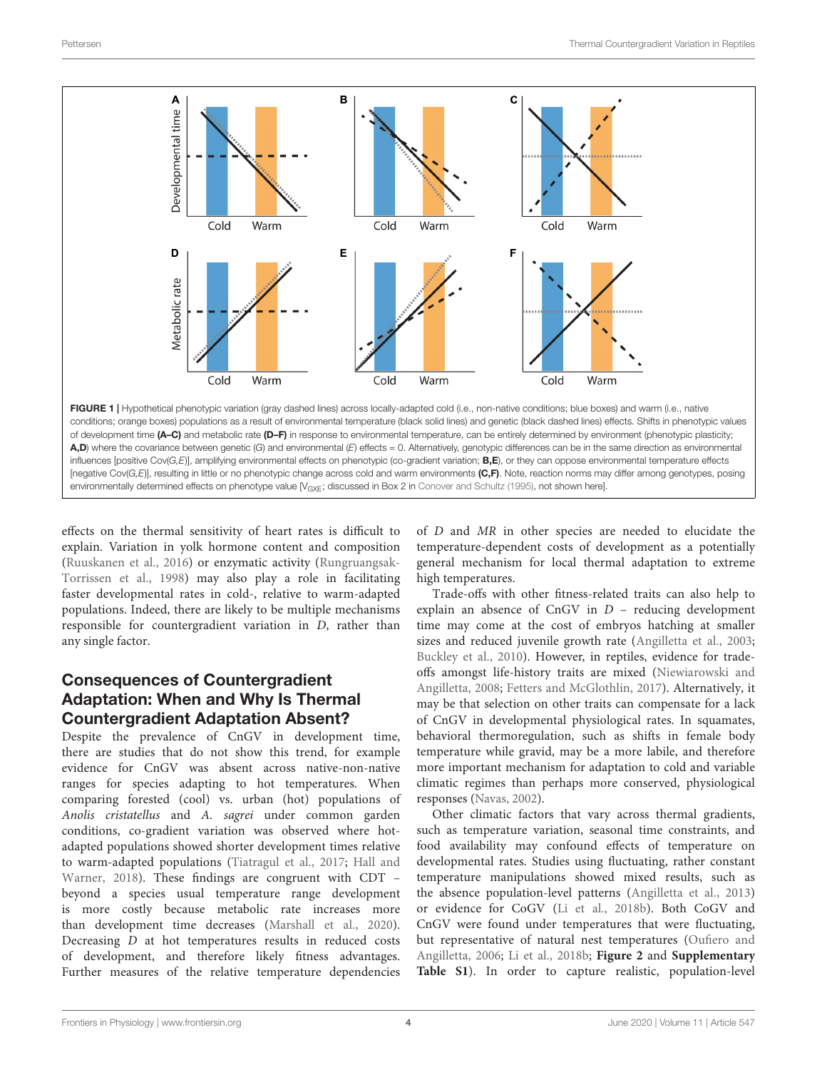

<span id="page-3-0"></span>effects on the thermal sensitivity of heart rates is difficult to explain. Variation in yolk hormone content and composition [\(Ruuskanen et al.,](#page-6-19) [2016\)](#page-6-19) or enzymatic activity [\(Rungruangsak-](#page-6-20)[Torrissen et al.,](#page-6-20) [1998\)](#page-6-20) may also play a role in facilitating faster developmental rates in cold-, relative to warm-adapted populations. Indeed, there are likely to be multiple mechanisms responsible for countergradient variation in D, rather than any single factor.

# Consequences of Countergradient Adaptation: When and Why Is Thermal Countergradient Adaptation Absent?

Despite the prevalence of CnGV in development time, there are studies that do not show this trend, for example evidence for CnGV was absent across native-non-native ranges for species adapting to hot temperatures. When comparing forested (cool) vs. urban (hot) populations of Anolis cristatellus and A. sagrei under common garden conditions, co-gradient variation was observed where hotadapted populations showed shorter development times relative to warm-adapted populations [\(Tiatragul et al.,](#page-7-9) [2017;](#page-7-9) [Hall and](#page-6-21) [Warner,](#page-6-21) [2018\)](#page-6-21). These findings are congruent with CDT – beyond a species usual temperature range development is more costly because metabolic rate increases more than development time decreases [\(Marshall et al.,](#page-6-9) [2020\)](#page-6-9). Decreasing D at hot temperatures results in reduced costs of development, and therefore likely fitness advantages. Further measures of the relative temperature dependencies

of D and MR in other species are needed to elucidate the temperature-dependent costs of development as a potentially general mechanism for local thermal adaptation to extreme high temperatures.

Trade-offs with other fitness-related traits can also help to explain an absence of  $CnGV$  in  $D$  – reducing development time may come at the cost of embryos hatching at smaller sizes and reduced juvenile growth rate [\(Angilletta et al.,](#page-5-10) [2003;](#page-5-10) [Buckley et al.,](#page-5-11) [2010\)](#page-5-11). However, in reptiles, evidence for tradeoffs amongst life-history traits are mixed [\(Niewiarowski and](#page-6-22) [Angilletta,](#page-6-22) [2008;](#page-6-22) [Fetters and McGlothlin,](#page-6-23) [2017\)](#page-6-23). Alternatively, it may be that selection on other traits can compensate for a lack of CnGV in developmental physiological rates. In squamates, behavioral thermoregulation, such as shifts in female body temperature while gravid, may be a more labile, and therefore more important mechanism for adaptation to cold and variable climatic regimes than perhaps more conserved, physiological responses [\(Navas,](#page-6-24) [2002\)](#page-6-24).

Other climatic factors that vary across thermal gradients, such as temperature variation, seasonal time constraints, and food availability may confound effects of temperature on developmental rates. Studies using fluctuating, rather constant temperature manipulations showed mixed results, such as the absence population-level patterns [\(Angilletta et al.,](#page-5-9) [2013\)](#page-5-9) or evidence for CoGV [\(Li et al.,](#page-6-25) [2018b\)](#page-6-25). Both CoGV and CnGV were found under temperatures that were fluctuating, but representative of natural nest temperatures [\(Oufiero and](#page-6-26) [Angilletta,](#page-6-26) [2006;](#page-6-26) [Li et al.,](#page-6-25) [2018b;](#page-6-25) **[Figure 2](#page-4-0)** and **[Supplementary](#page-5-8) [Table S1](#page-5-8)**). In order to capture realistic, population-level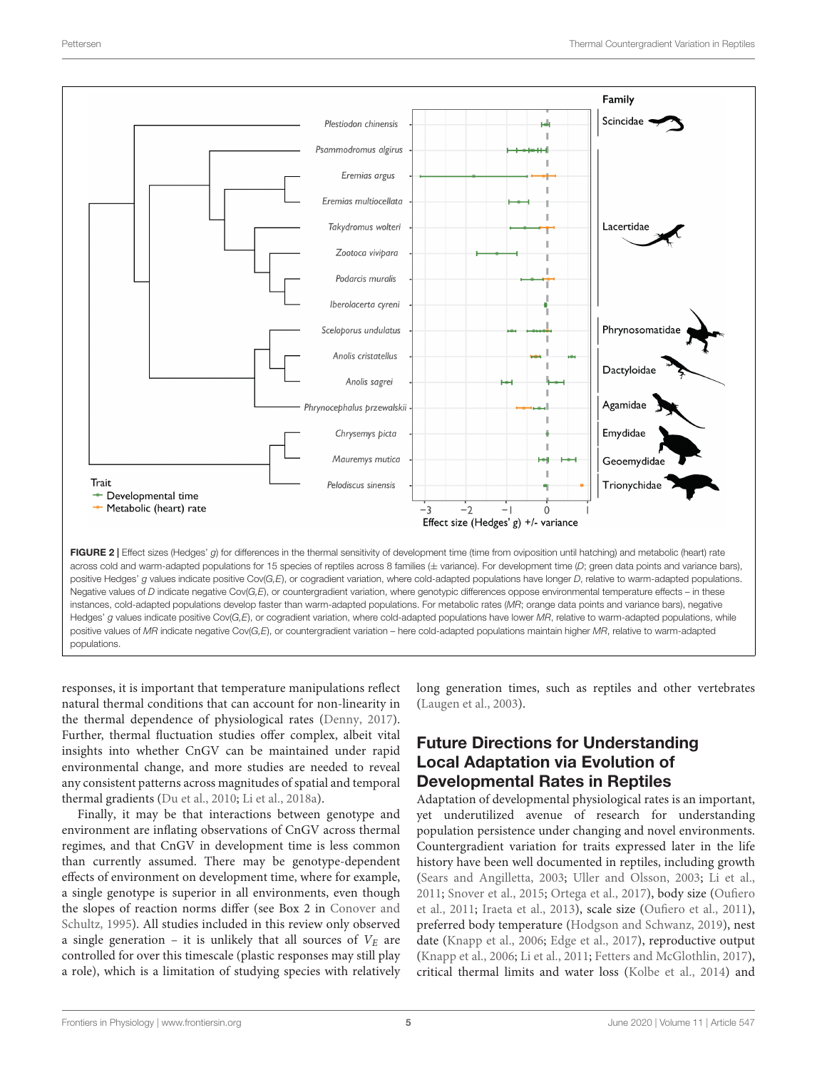

<span id="page-4-0"></span>Hedges' g values indicate positive Cov( $G$ , $E$ ), or cogradient variation, where cold-adapted populations have lower MR, relative to warm-adapted populations, while positive values of MR indicate negative Cov(G,E), or countergradient variation – here cold-adapted populations maintain higher MR, relative to warm-adapted populations.

responses, it is important that temperature manipulations reflect natural thermal conditions that can account for non-linearity in the thermal dependence of physiological rates [\(Denny,](#page-6-27) [2017\)](#page-6-27). Further, thermal fluctuation studies offer complex, albeit vital insights into whether CnGV can be maintained under rapid environmental change, and more studies are needed to reveal any consistent patterns across magnitudes of spatial and temporal thermal gradients [\(Du et al.,](#page-6-18) [2010;](#page-6-18) [Li et al.,](#page-6-14) [2018a\)](#page-6-14).

Finally, it may be that interactions between genotype and environment are inflating observations of CnGV across thermal regimes, and that CnGV in development time is less common than currently assumed. There may be genotype-dependent effects of environment on development time, where for example, a single genotype is superior in all environments, even though the slopes of reaction norms differ (see Box 2 in [Conover and](#page-5-0) [Schultz,](#page-5-0) [1995\)](#page-5-0). All studies included in this review only observed a single generation – it is unlikely that all sources of  $V_E$  are controlled for over this timescale (plastic responses may still play a role), which is a limitation of studying species with relatively long generation times, such as reptiles and other vertebrates [\(Laugen et al.,](#page-6-28) [2003\)](#page-6-28).

# Future Directions for Understanding Local Adaptation via Evolution of Developmental Rates in Reptiles

Adaptation of developmental physiological rates is an important, yet underutilized avenue of research for understanding population persistence under changing and novel environments. Countergradient variation for traits expressed later in the life history have been well documented in reptiles, including growth [\(Sears and Angilletta,](#page-6-29) [2003;](#page-6-29) [Uller and Olsson,](#page-7-10) [2003;](#page-7-10) [Li et al.,](#page-6-2) [2011;](#page-6-2) [Snover et al.,](#page-7-11) [2015;](#page-7-11) [Ortega et al.,](#page-6-30) [2017\)](#page-6-30), body size [\(Oufiero](#page-6-31) [et al.,](#page-6-31) [2011;](#page-6-31) [Iraeta et al.,](#page-6-32) [2013\)](#page-6-32), scale size [\(Oufiero et al.,](#page-6-31) [2011\)](#page-6-31), preferred body temperature [\(Hodgson and Schwanz,](#page-6-33) [2019\)](#page-6-33), nest date [\(Knapp et al.,](#page-6-34) [2006;](#page-6-34) [Edge et al.,](#page-6-3) [2017\)](#page-6-3), reproductive output [\(Knapp et al.,](#page-6-34) [2006;](#page-6-34) [Li et al.,](#page-6-2) [2011;](#page-6-2) [Fetters and McGlothlin,](#page-6-23) [2017\)](#page-6-23), critical thermal limits and water loss [\(Kolbe et al.,](#page-6-35) [2014\)](#page-6-35) and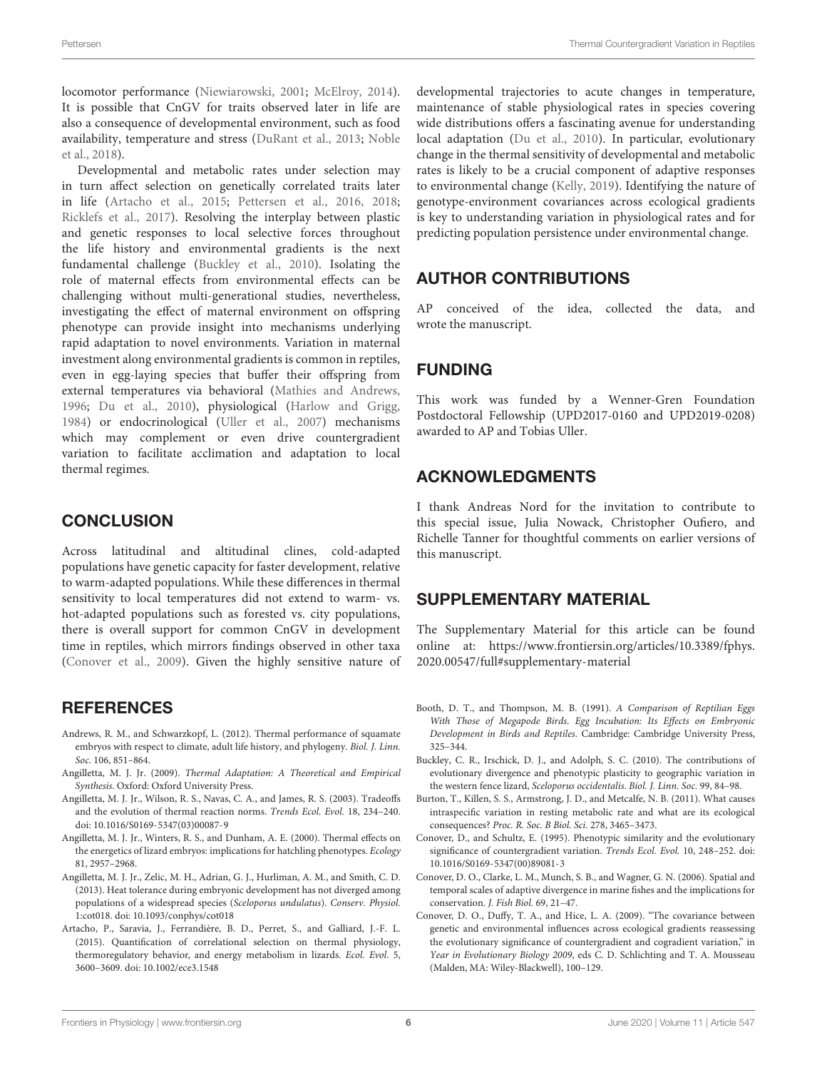locomotor performance [\(Niewiarowski,](#page-6-36) [2001;](#page-6-36) [McElroy,](#page-6-37) [2014\)](#page-6-37). It is possible that CnGV for traits observed later in life are also a consequence of developmental environment, such as food availability, temperature and stress [\(DuRant et al.,](#page-6-4) [2013;](#page-6-4) [Noble](#page-6-38) [et al.,](#page-6-38) [2018\)](#page-6-38).

Developmental and metabolic rates under selection may in turn affect selection on genetically correlated traits later in life [\(Artacho et al.,](#page-5-12) [2015;](#page-5-12) [Pettersen et al.,](#page-6-39) [2016,](#page-6-39) [2018;](#page-6-16) [Ricklefs et al.,](#page-6-40) [2017\)](#page-6-40). Resolving the interplay between plastic and genetic responses to local selective forces throughout the life history and environmental gradients is the next fundamental challenge [\(Buckley et al.,](#page-5-11) [2010\)](#page-5-11). Isolating the role of maternal effects from environmental effects can be challenging without multi-generational studies, nevertheless, investigating the effect of maternal environment on offspring phenotype can provide insight into mechanisms underlying rapid adaptation to novel environments. Variation in maternal investment along environmental gradients is common in reptiles, even in egg-laying species that buffer their offspring from external temperatures via behavioral [\(Mathies and Andrews,](#page-6-41) [1996;](#page-6-41) [Du et al.,](#page-6-18) [2010\)](#page-6-18), physiological [\(Harlow and Grigg,](#page-6-42) [1984\)](#page-6-42) or endocrinological [\(Uller et al.,](#page-7-12) [2007\)](#page-7-12) mechanisms which may complement or even drive countergradient variation to facilitate acclimation and adaptation to local thermal regimes.

### **CONCLUSION**

Across latitudinal and altitudinal clines, cold-adapted populations have genetic capacity for faster development, relative to warm-adapted populations. While these differences in thermal sensitivity to local temperatures did not extend to warm- vs. hot-adapted populations such as forested vs. city populations, there is overall support for common CnGV in development time in reptiles, which mirrors findings observed in other taxa [\(Conover et al.,](#page-5-1) [2009\)](#page-5-1). Given the highly sensitive nature of

### **REFERENCES**

- <span id="page-5-3"></span>Andrews, R. M., and Schwarzkopf, L. (2012). Thermal performance of squamate embryos with respect to climate, adult life history, and phylogeny. Biol. J. Linn. Soc. 106, 851–864.
- <span id="page-5-2"></span>Angilletta, M. J. Jr. (2009). Thermal Adaptation: A Theoretical and Empirical Synthesis. Oxford: Oxford University Press.
- <span id="page-5-10"></span>Angilletta, M. J. Jr., Wilson, R. S., Navas, C. A., and James, R. S. (2003). Tradeoffs and the evolution of thermal reaction norms. Trends Ecol. Evol. 18, 234–240. [doi: 10.1016/S0169-5347\(03\)00087-9](https://doi.org/10.1016/S0169-5347(03)00087-9)
- <span id="page-5-6"></span>Angilletta, M. J. Jr., Winters, R. S., and Dunham, A. E. (2000). Thermal effects on the energetics of lizard embryos: implications for hatchling phenotypes. Ecology 81, 2957–2968.
- <span id="page-5-9"></span>Angilletta, M. J. Jr., Zelic, M. H., Adrian, G. J., Hurliman, A. M., and Smith, C. D. (2013). Heat tolerance during embryonic development has not diverged among populations of a widespread species (Sceloporus undulatus). Conserv. Physiol. 1:cot018. [doi: 10.1093/conphys/cot018](https://doi.org/10.1093/conphys/cot018)
- <span id="page-5-12"></span>Artacho, P., Saravia, J., Ferrandière, B. D., Perret, S., and Galliard, J.-F. L. (2015). Quantification of correlational selection on thermal physiology, thermoregulatory behavior, and energy metabolism in lizards. Ecol. Evol. 5, 3600–3609. [doi: 10.1002/ece3.1548](https://doi.org/10.1002/ece3.1548)

developmental trajectories to acute changes in temperature, maintenance of stable physiological rates in species covering wide distributions offers a fascinating avenue for understanding local adaptation [\(Du et al.,](#page-6-18) [2010\)](#page-6-18). In particular, evolutionary change in the thermal sensitivity of developmental and metabolic rates is likely to be a crucial component of adaptive responses to environmental change [\(Kelly,](#page-6-1) [2019\)](#page-6-1). Identifying the nature of genotype-environment covariances across ecological gradients is key to understanding variation in physiological rates and for predicting population persistence under environmental change.

## AUTHOR CONTRIBUTIONS

AP conceived of the idea, collected the data, and wrote the manuscript.

### FUNDING

This work was funded by a Wenner-Gren Foundation Postdoctoral Fellowship (UPD2017-0160 and UPD2019-0208) awarded to AP and Tobias Uller.

### ACKNOWLEDGMENTS

I thank Andreas Nord for the invitation to contribute to this special issue, Julia Nowack, Christopher Oufiero, and Richelle Tanner for thoughtful comments on earlier versions of this manuscript.

### <span id="page-5-8"></span>SUPPLEMENTARY MATERIAL

The Supplementary Material for this article can be found online at: [https://www.frontiersin.org/articles/10.3389/fphys.](https://www.frontiersin.org/articles/10.3389/fphys.2020.00547/full#supplementary-material) [2020.00547/full#supplementary-material](https://www.frontiersin.org/articles/10.3389/fphys.2020.00547/full#supplementary-material)

- <span id="page-5-5"></span>Booth, D. T., and Thompson, M. B. (1991). A Comparison of Reptilian Eggs With Those of Megapode Birds. Egg Incubation: Its Effects on Embryonic Development in Birds and Reptiles. Cambridge: Cambridge University Press, 325–344.
- <span id="page-5-11"></span>Buckley, C. R., Irschick, D. J., and Adolph, S. C. (2010). The contributions of evolutionary divergence and phenotypic plasticity to geographic variation in the western fence lizard, Sceloporus occidentalis. Biol. J. Linn. Soc. 99, 84–98.
- <span id="page-5-4"></span>Burton, T., Killen, S. S., Armstrong, J. D., and Metcalfe, N. B. (2011). What causes intraspecific variation in resting metabolic rate and what are its ecological consequences? Proc. R. Soc. B Biol. Sci. 278, 3465–3473.
- <span id="page-5-0"></span>Conover, D., and Schultz, E. (1995). Phenotypic similarity and the evolutionary significance of countergradient variation. Trends Ecol. Evol. 10, 248–252. [doi:](https://doi.org/10.1016/S0169-5347(00)89081-3) [10.1016/S0169-5347\(00\)89081-3](https://doi.org/10.1016/S0169-5347(00)89081-3)
- <span id="page-5-7"></span>Conover, D. O., Clarke, L. M., Munch, S. B., and Wagner, G. N. (2006). Spatial and temporal scales of adaptive divergence in marine fishes and the implications for conservation. J. Fish Biol. 69, 21–47.
- <span id="page-5-1"></span>Conover, D. O., Duffy, T. A., and Hice, L. A. (2009). "The covariance between genetic and environmental influences across ecological gradients reassessing the evolutionary significance of countergradient and cogradient variation," in Year in Evolutionary Biology 2009, eds C. D. Schlichting and T. A. Mousseau (Malden, MA: Wiley-Blackwell), 100–129.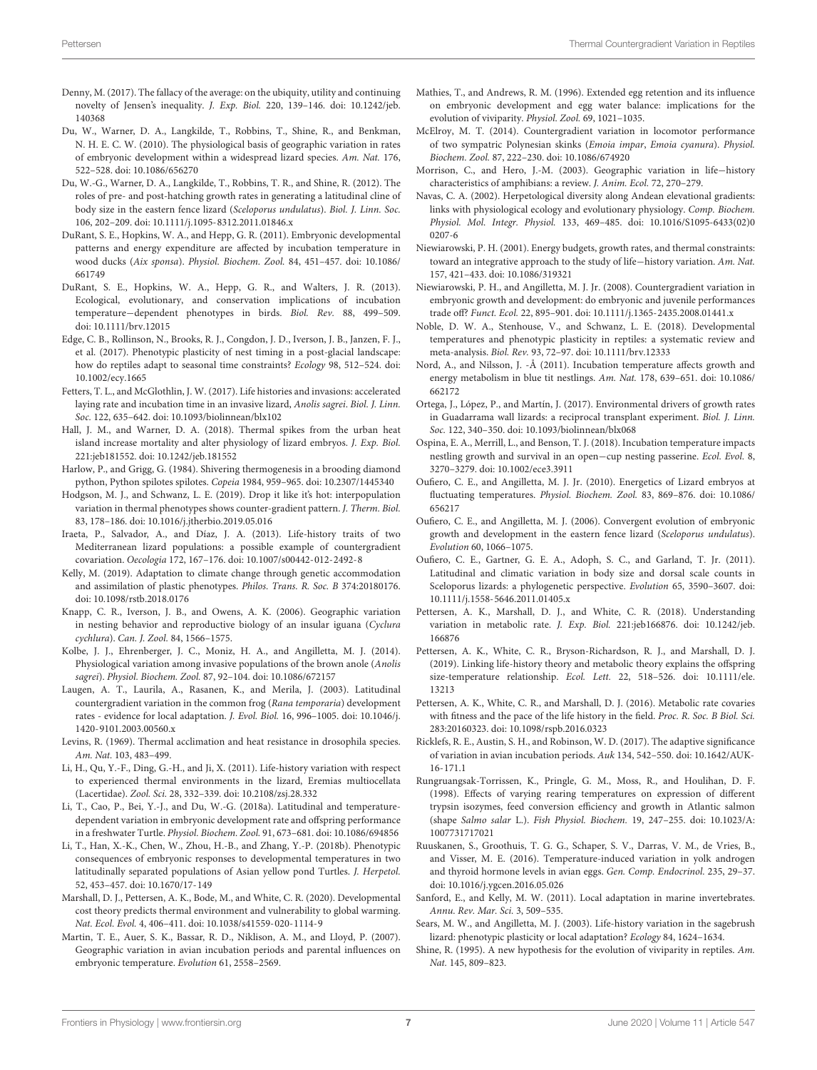- <span id="page-6-27"></span>Denny, M. (2017). The fallacy of the average: on the ubiquity, utility and continuing novelty of Jensen's inequality. J. Exp. Biol. 220, 139–146. [doi: 10.1242/jeb.](https://doi.org/10.1242/jeb.140368) [140368](https://doi.org/10.1242/jeb.140368)
- <span id="page-6-18"></span>Du, W., Warner, D. A., Langkilde, T., Robbins, T., Shine, R., and Benkman, N. H. E. C. W. (2010). The physiological basis of geographic variation in rates of embryonic development within a widespread lizard species. Am. Nat. 176, 522–528. [doi: 10.1086/656270](https://doi.org/10.1086/656270)
- <span id="page-6-15"></span>Du, W.-G., Warner, D. A., Langkilde, T., Robbins, T. R., and Shine, R. (2012). The roles of pre- and post-hatching growth rates in generating a latitudinal cline of body size in the eastern fence lizard (Sceloporus undulatus). Biol. J. Linn. Soc. 106, 202–209. [doi: 10.1111/j.1095-8312.2011.01846.x](https://doi.org/10.1111/j.1095-8312.2011.01846.x)
- <span id="page-6-10"></span>DuRant, S. E., Hopkins, W. A., and Hepp, G. R. (2011). Embryonic developmental patterns and energy expenditure are affected by incubation temperature in wood ducks (Aix sponsa). Physiol. Biochem. Zool. 84, 451–457. [doi: 10.1086/](https://doi.org/10.1086/661749) [661749](https://doi.org/10.1086/661749)
- <span id="page-6-4"></span>DuRant, S. E., Hopkins, W. A., Hepp, G. R., and Walters, J. R. (2013). Ecological, evolutionary, and conservation implications of incubation temperature−dependent phenotypes in birds. Biol. Rev. 88, 499–509. [doi: 10.1111/brv.12015](https://doi.org/10.1111/brv.12015)
- <span id="page-6-3"></span>Edge, C. B., Rollinson, N., Brooks, R. J., Congdon, J. D., Iverson, J. B., Janzen, F. J., et al. (2017). Phenotypic plasticity of nest timing in a post-glacial landscape: how do reptiles adapt to seasonal time constraints? Ecology 98, 512–524. [doi:](https://doi.org/10.1002/ecy.1665) [10.1002/ecy.1665](https://doi.org/10.1002/ecy.1665)
- <span id="page-6-23"></span>Fetters, T. L., and McGlothlin, J. W. (2017). Life histories and invasions: accelerated laying rate and incubation time in an invasive lizard, Anolis sagrei. Biol. J. Linn. Soc. 122, 635–642. [doi: 10.1093/biolinnean/blx102](https://doi.org/10.1093/biolinnean/blx102)
- <span id="page-6-21"></span>Hall, J. M., and Warner, D. A. (2018). Thermal spikes from the urban heat island increase mortality and alter physiology of lizard embryos. J. Exp. Biol. 221:jeb181552. [doi: 10.1242/jeb.181552](https://doi.org/10.1242/jeb.181552)
- <span id="page-6-42"></span>Harlow, P., and Grigg, G. (1984). Shivering thermogenesis in a brooding diamond python, Python spilotes spilotes. Copeia 1984, 959–965. [doi: 10.2307/1445340](https://doi.org/10.2307/1445340)
- <span id="page-6-33"></span>Hodgson, M. J., and Schwanz, L. E. (2019). Drop it like it's hot: interpopulation variation in thermal phenotypes shows counter-gradient pattern. J. Therm. Biol. 83, 178–186. [doi: 10.1016/j.jtherbio.2019.05.016](https://doi.org/10.1016/j.jtherbio.2019.05.016)
- <span id="page-6-32"></span>Iraeta, P., Salvador, A., and Díaz, J. A. (2013). Life-history traits of two Mediterranean lizard populations: a possible example of countergradient covariation. Oecologia 172, 167–176. [doi: 10.1007/s00442-012-2492-8](https://doi.org/10.1007/s00442-012-2492-8)
- <span id="page-6-1"></span>Kelly, M. (2019). Adaptation to climate change through genetic accommodation and assimilation of plastic phenotypes. Philos. Trans. R. Soc. B 374:20180176. [doi: 10.1098/rstb.2018.0176](https://doi.org/10.1098/rstb.2018.0176)
- <span id="page-6-34"></span>Knapp, C. R., Iverson, J. B., and Owens, A. K. (2006). Geographic variation in nesting behavior and reproductive biology of an insular iguana (Cyclura cychlura). Can. J. Zool. 84, 1566–1575.
- <span id="page-6-35"></span>Kolbe, J. J., Ehrenberger, J. C., Moniz, H. A., and Angilletta, M. J. (2014). Physiological variation among invasive populations of the brown anole (Anolis sagrei). Physiol. Biochem. Zool. 87, 92–104. [doi: 10.1086/672157](https://doi.org/10.1086/672157)
- <span id="page-6-28"></span>Laugen, A. T., Laurila, A., Rasanen, K., and Merila, J. (2003). Latitudinal countergradient variation in the common frog (Rana temporaria) development rates - evidence for local adaptation. J. Evol. Biol. 16, 996–1005. [doi: 10.1046/j.](https://doi.org/10.1046/j.1420-9101.2003.00560.x) [1420-9101.2003.00560.x](https://doi.org/10.1046/j.1420-9101.2003.00560.x)
- <span id="page-6-0"></span>Levins, R. (1969). Thermal acclimation and heat resistance in drosophila species. Am. Nat. 103, 483–499.
- <span id="page-6-2"></span>Li, H., Qu, Y.-F., Ding, G.-H., and Ji, X. (2011). Life-history variation with respect to experienced thermal environments in the lizard, Eremias multiocellata (Lacertidae). Zool. Sci. 28, 332–339. [doi: 10.2108/zsj.28.332](https://doi.org/10.2108/zsj.28.332)
- <span id="page-6-14"></span>Li, T., Cao, P., Bei, Y.-J., and Du, W.-G. (2018a). Latitudinal and temperaturedependent variation in embryonic development rate and offspring performance in a freshwater Turtle. Physiol. Biochem. Zool. 91, 673–681. [doi: 10.1086/694856](https://doi.org/10.1086/694856)
- <span id="page-6-25"></span>Li, T., Han, X.-K., Chen, W., Zhou, H.-B., and Zhang, Y.-P. (2018b). Phenotypic consequences of embryonic responses to developmental temperatures in two latitudinally separated populations of Asian yellow pond Turtles. J. Herpetol. 52, 453–457. [doi: 10.1670/17-149](https://doi.org/10.1670/17-149)
- <span id="page-6-9"></span>Marshall, D. J., Pettersen, A. K., Bode, M., and White, C. R. (2020). Developmental cost theory predicts thermal environment and vulnerability to global warming. Nat. Ecol. Evol. 4, 406–411. [doi: 10.1038/s41559-020-1114-9](https://doi.org/10.1038/s41559-020-1114-9)
- <span id="page-6-6"></span>Martin, T. E., Auer, S. K., Bassar, R. D., Niklison, A. M., and Lloyd, P. (2007). Geographic variation in avian incubation periods and parental influences on embryonic temperature. Evolution 61, 2558–2569.
- <span id="page-6-41"></span>Mathies, T., and Andrews, R. M. (1996). Extended egg retention and its influence on embryonic development and egg water balance: implications for the evolution of viviparity. Physiol. Zool. 69, 1021–1035.
- <span id="page-6-37"></span>McElroy, M. T. (2014). Countergradient variation in locomotor performance of two sympatric Polynesian skinks (Emoia impar, Emoia cyanura). Physiol. Biochem. Zool. 87, 222–230. [doi: 10.1086/674920](https://doi.org/10.1086/674920)
- <span id="page-6-12"></span>Morrison, C., and Hero, J.-M. (2003). Geographic variation in life−history characteristics of amphibians: a review. J. Anim. Ecol. 72, 270–279.
- <span id="page-6-24"></span>Navas, C. A. (2002). Herpetological diversity along Andean elevational gradients: links with physiological ecology and evolutionary physiology. Comp. Biochem. Physiol. Mol. Integr. Physiol. 133, 469–485. [doi: 10.1016/S1095-6433\(02\)0](https://doi.org/10.1016/S1095-6433(02)00207-6) [0207-6](https://doi.org/10.1016/S1095-6433(02)00207-6)
- <span id="page-6-36"></span>Niewiarowski, P. H. (2001). Energy budgets, growth rates, and thermal constraints: toward an integrative approach to the study of life−history variation. Am. Nat. 157, 421–433. [doi: 10.1086/319321](https://doi.org/10.1086/319321)
- <span id="page-6-22"></span>Niewiarowski, P. H., and Angilletta, M. J. Jr. (2008). Countergradient variation in embryonic growth and development: do embryonic and juvenile performances trade off? Funct. Ecol. 22, 895–901. [doi: 10.1111/j.1365-2435.2008.01441.x](https://doi.org/10.1111/j.1365-2435.2008.01441.x)
- <span id="page-6-38"></span>Noble, D. W. A., Stenhouse, V., and Schwanz, L. E. (2018). Developmental temperatures and phenotypic plasticity in reptiles: a systematic review and meta-analysis. Biol. Rev. 93, 72–97. [doi: 10.1111/brv.12333](https://doi.org/10.1111/brv.12333)
- <span id="page-6-7"></span>Nord, A., and Nilsson, J. -Å (2011). Incubation temperature affects growth and energy metabolism in blue tit nestlings. Am. Nat. 178, 639–651. [doi: 10.1086/](https://doi.org/10.1086/662172) [662172](https://doi.org/10.1086/662172)
- <span id="page-6-30"></span>Ortega, J., López, P., and Martín, J. (2017). Environmental drivers of growth rates in Guadarrama wall lizards: a reciprocal transplant experiment. Biol. J. Linn. Soc. 122, 340–350. [doi: 10.1093/biolinnean/blx068](https://doi.org/10.1093/biolinnean/blx068)
- <span id="page-6-5"></span>Ospina, E. A., Merrill, L., and Benson, T. J. (2018). Incubation temperature impacts nestling growth and survival in an open−cup nesting passerine. Ecol. Evol. 8, 3270–3279. [doi: 10.1002/ece3.3911](https://doi.org/10.1002/ece3.3911)
- <span id="page-6-11"></span>Oufiero, C. E., and Angilletta, M. J. Jr. (2010). Energetics of Lizard embryos at fluctuating temperatures. Physiol. Biochem. Zool. 83, 869–876. [doi: 10.1086/](https://doi.org/10.1086/656217) [656217](https://doi.org/10.1086/656217)
- <span id="page-6-26"></span>Oufiero, C. E., and Angilletta, M. J. (2006). Convergent evolution of embryonic growth and development in the eastern fence lizard (Sceloporus undulatus). Evolution 60, 1066–1075.
- <span id="page-6-31"></span>Oufiero, C. E., Gartner, G. E. A., Adoph, S. C., and Garland, T. Jr. (2011). Latitudinal and climatic variation in body size and dorsal scale counts in Sceloporus lizards: a phylogenetic perspective. Evolution 65, 3590–3607. [doi:](https://doi.org/10.1111/j.1558-5646.2011.01405.x) [10.1111/j.1558-5646.2011.01405.x](https://doi.org/10.1111/j.1558-5646.2011.01405.x)
- <span id="page-6-16"></span>Pettersen, A. K., Marshall, D. J., and White, C. R. (2018). Understanding variation in metabolic rate. J. Exp. Biol. 221:jeb166876. [doi: 10.1242/jeb.](https://doi.org/10.1242/jeb.166876) [166876](https://doi.org/10.1242/jeb.166876)
- <span id="page-6-8"></span>Pettersen, A. K., White, C. R., Bryson-Richardson, R. J., and Marshall, D. J. (2019). Linking life-history theory and metabolic theory explains the offspring size-temperature relationship. Ecol. Lett. 22, 518–526. [doi: 10.1111/ele.](https://doi.org/10.1111/ele.13213) [13213](https://doi.org/10.1111/ele.13213)
- <span id="page-6-39"></span>Pettersen, A. K., White, C. R., and Marshall, D. J. (2016). Metabolic rate covaries with fitness and the pace of the life history in the field. Proc. R. Soc. B Biol. Sci. 283:20160323. [doi: 10.1098/rspb.2016.0323](https://doi.org/10.1098/rspb.2016.0323)
- <span id="page-6-40"></span>Ricklefs, R. E., Austin, S. H., and Robinson, W. D. (2017). The adaptive significance of variation in avian incubation periods. Auk 134, 542–550. [doi: 10.1642/AUK-](https://doi.org/10.1642/AUK-16-171.1)[16-171.1](https://doi.org/10.1642/AUK-16-171.1)
- <span id="page-6-20"></span>Rungruangsak-Torrissen, K., Pringle, G. M., Moss, R., and Houlihan, D. F. (1998). Effects of varying rearing temperatures on expression of different trypsin isozymes, feed conversion efficiency and growth in Atlantic salmon (shape Salmo salar L.). Fish Physiol. Biochem. 19, 247–255. [doi: 10.1023/A:](https://doi.org/10.1023/A:1007731717021) [1007731717021](https://doi.org/10.1023/A:1007731717021)
- <span id="page-6-19"></span>Ruuskanen, S., Groothuis, T. G. G., Schaper, S. V., Darras, V. M., de Vries, B., and Visser, M. E. (2016). Temperature-induced variation in yolk androgen and thyroid hormone levels in avian eggs. Gen. Comp. Endocrinol. 235, 29–37. [doi: 10.1016/j.ygcen.2016.05.026](https://doi.org/10.1016/j.ygcen.2016.05.026)
- <span id="page-6-13"></span>Sanford, E., and Kelly, M. W. (2011). Local adaptation in marine invertebrates. Annu. Rev. Mar. Sci. 3, 509–535.
- <span id="page-6-29"></span>Sears, M. W., and Angilletta, M. J. (2003). Life-history variation in the sagebrush lizard: phenotypic plasticity or local adaptation? Ecology 84, 1624–1634.
- <span id="page-6-17"></span>Shine, R. (1995). A new hypothesis for the evolution of viviparity in reptiles. Am. Nat. 145, 809–823.